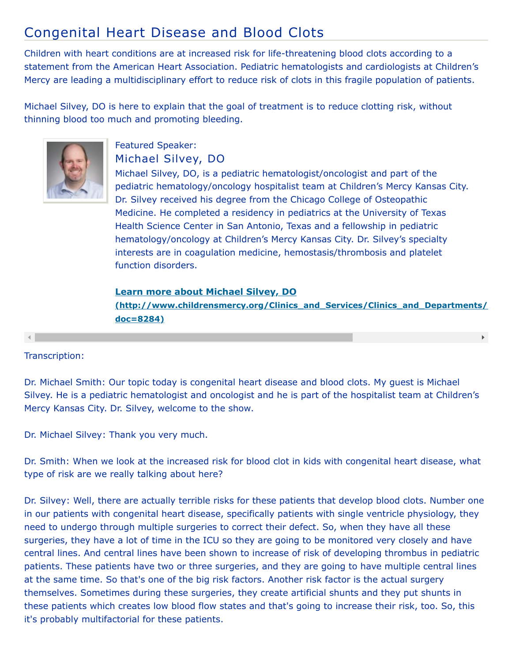# Congenital Heart Disease and Blood Clots

Children with heart conditions are at increased risk for life-threatening blood clots according to a statement from the American Heart Association. Pediatric hematologists and cardiologists at Children's Mercy are leading a multidisciplinary effort to reduce risk of clots in this fragile population of patients.

Michael Silvey, DO is here to explain that the goal of treatment is to reduce clotting risk, without thinning blood too much and promoting bleeding.



### Featured Speaker: Michael Silvey, DO

Michael Silvey, DO, is a pediatric hematologist/oncologist and part of the pediatric hematology/oncology hospitalist team at Children's Mercy Kansas City. Dr. Silvey received his degree from the Chicago College of Osteopathic Medicine. He completed a residency in pediatrics at the University of Texas Health Science Center in San Antonio, Texas and a fellowship in pediatric hematology/oncology at Children's Mercy Kansas City. Dr. Silvey's specialty interests are in coagulation medicine, hemostasis/thrombosis and platelet function disorders.

## **Learn more about Michael Silvey, DO [\(http://www.childrensmercy.org/Clinics\\_and\\_Services/Clinics\\_and\\_Departments/](http://www.childrensmercy.org/Clinics_and_Services/Clinics_and_Departments/Pediatric_Oncology/Faculty_and_Staff/?doc=8284) doc=8284)**

#### Transcription:

Dr. Michael Smith: Our topic today is congenital heart disease and blood clots. My guest is Michael Silvey. He is a pediatric hematologist and oncologist and he is part of the hospitalist team at Children's Mercy Kansas City. Dr. Silvey, welcome to the show.

Dr. Michael Silvey: Thank you very much.

Dr. Smith: When we look at the increased risk for blood clot in kids with congenital heart disease, what type of risk are we really talking about here?

Dr. Silvey: Well, there are actually terrible risks for these patients that develop blood clots. Number one in our patients with congenital heart disease, specifically patients with single ventricle physiology, they need to undergo through multiple surgeries to correct their defect. So, when they have all these surgeries, they have a lot of time in the ICU so they are going to be monitored very closely and have central lines. And central lines have been shown to increase of risk of developing thrombus in pediatric patients. These patients have two or three surgeries, and they are going to have multiple central lines at the same time. So that's one of the big risk factors. Another risk factor is the actual surgery themselves. Sometimes during these surgeries, they create artificial shunts and they put shunts in these patients which creates low blood flow states and that's going to increase their risk, too. So, this it's probably multifactorial for these patients.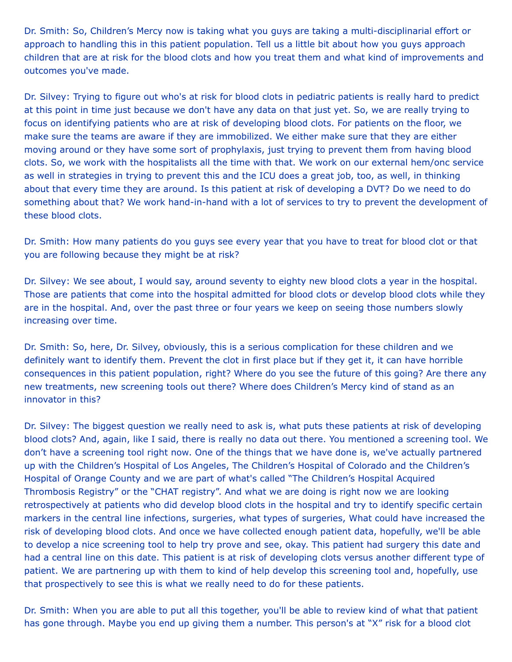Dr. Smith: So, Children's Mercy now is taking what you guys are taking a multi-disciplinarial effort or approach to handling this in this patient population. Tell us a little bit about how you guys approach children that are at risk for the blood clots and how you treat them and what kind of improvements and outcomes you've made.

Dr. Silvey: Trying to figure out who's at risk for blood clots in pediatric patients is really hard to predict at this point in time just because we don't have any data on that just yet. So, we are really trying to focus on identifying patients who are at risk of developing blood clots. For patients on the floor, we make sure the teams are aware if they are immobilized. We either make sure that they are either moving around or they have some sort of prophylaxis, just trying to prevent them from having blood clots. So, we work with the hospitalists all the time with that. We work on our external hem/onc service as well in strategies in trying to prevent this and the ICU does a great job, too, as well, in thinking about that every time they are around. Is this patient at risk of developing a DVT? Do we need to do something about that? We work hand-in-hand with a lot of services to try to prevent the development of these blood clots.

Dr. Smith: How many patients do you guys see every year that you have to treat for blood clot or that you are following because they might be at risk?

Dr. Silvey: We see about, I would say, around seventy to eighty new blood clots a year in the hospital. Those are patients that come into the hospital admitted for blood clots or develop blood clots while they are in the hospital. And, over the past three or four years we keep on seeing those numbers slowly increasing over time.

Dr. Smith: So, here, Dr. Silvey, obviously, this is a serious complication for these children and we definitely want to identify them. Prevent the clot in first place but if they get it, it can have horrible consequences in this patient population, right? Where do you see the future of this going? Are there any new treatments, new screening tools out there? Where does Children's Mercy kind of stand as an innovator in this?

Dr. Silvey: The biggest question we really need to ask is, what puts these patients at risk of developing blood clots? And, again, like I said, there is really no data out there. You mentioned a screening tool. We don't have a screening tool right now. One of the things that we have done is, we've actually partnered up with the Children's Hospital of Los Angeles, The Children's Hospital of Colorado and the Children's Hospital of Orange County and we are part of what's called "The Children's Hospital Acquired Thrombosis Registry" or the "CHAT registry". And what we are doing is right now we are looking retrospectively at patients who did develop blood clots in the hospital and try to identify specific certain markers in the central line infections, surgeries, what types of surgeries, What could have increased the risk of developing blood clots. And once we have collected enough patient data, hopefully, we'll be able to develop a nice screening tool to help try prove and see, okay. This patient had surgery this date and had a central line on this date. This patient is at risk of developing clots versus another different type of patient. We are partnering up with them to kind of help develop this screening tool and, hopefully, use that prospectively to see this is what we really need to do for these patients.

Dr. Smith: When you are able to put all this together, you'll be able to review kind of what that patient has gone through. Maybe you end up giving them a number. This person's at "X" risk for a blood clot